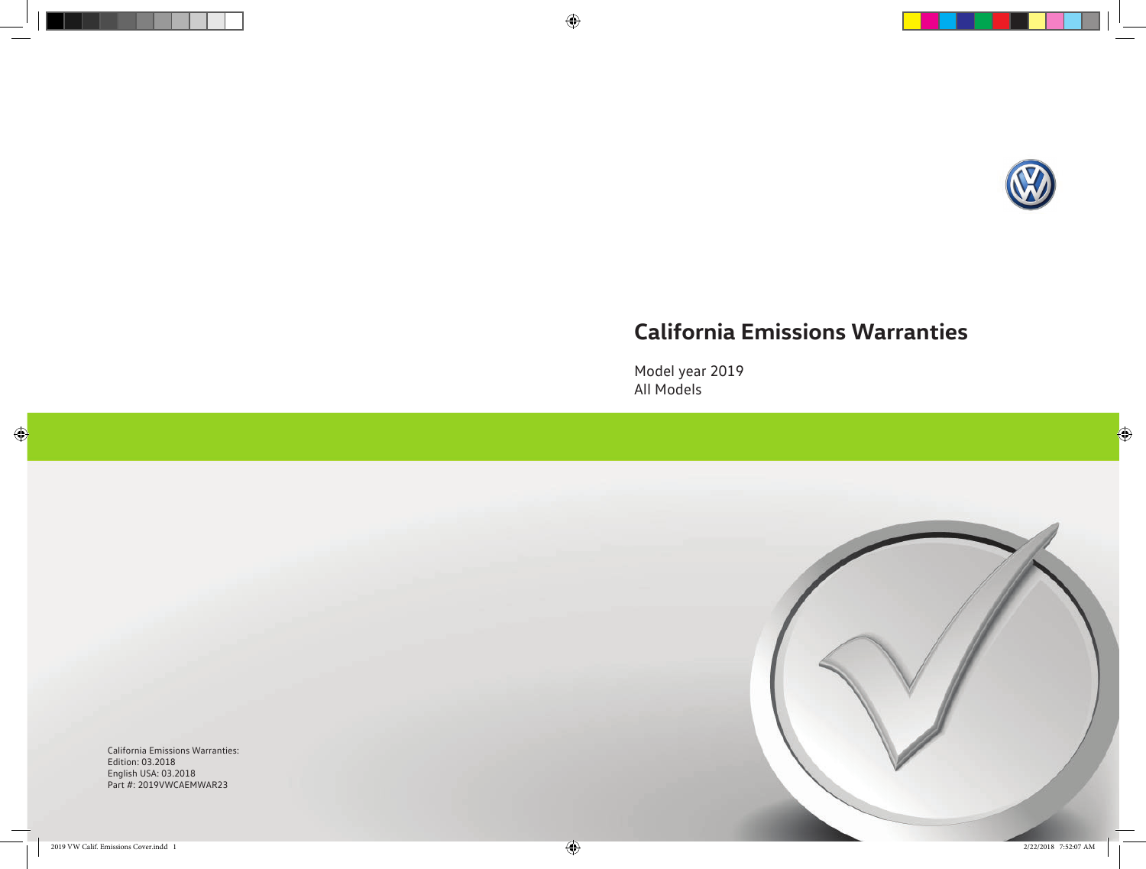

 $\bigoplus$ 

# **California Emissions Warranties**

Model year 2019 All Models

California Emissions Warranties: Edition: 03.2018 English USA: 03.2018 Part #: 2019VWCAEMWAR23

 $\bigoplus$ 



 $\bigoplus$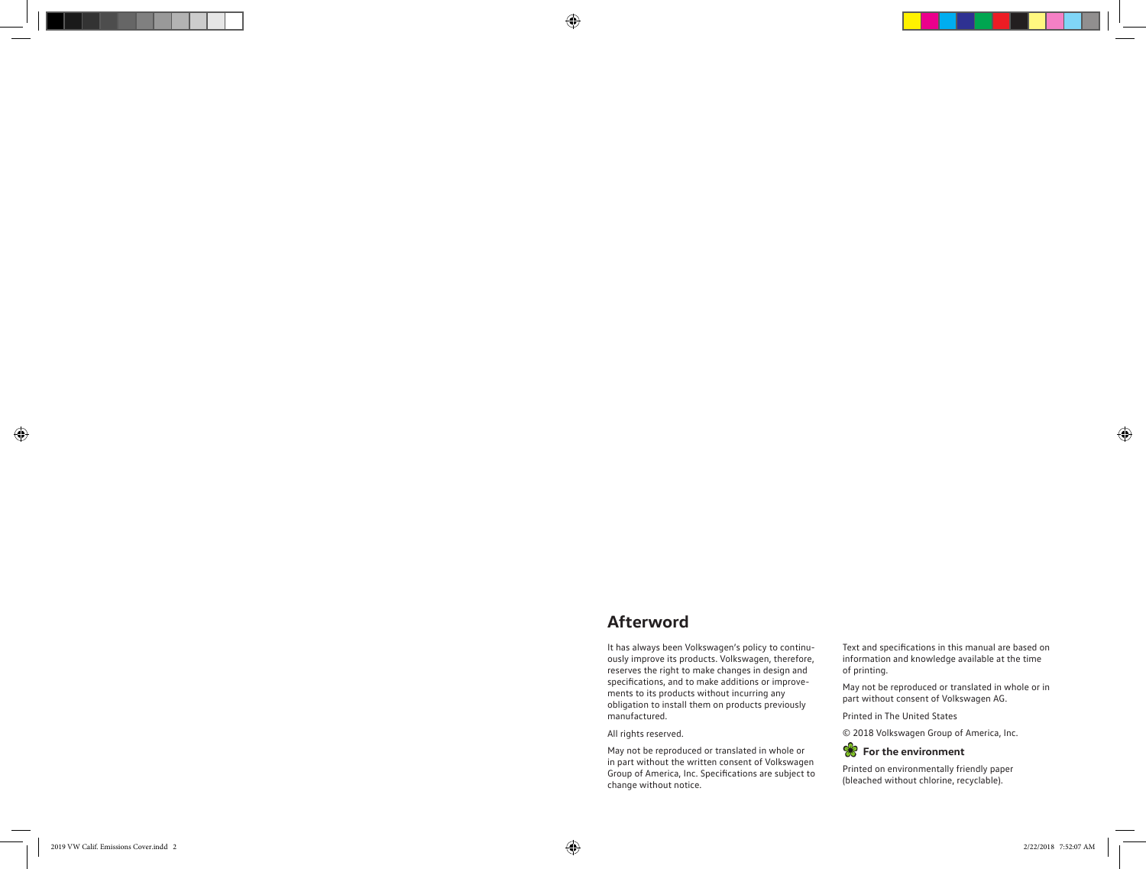# **Afterword**

It has always been Volkswagen's policy to continu ously improve its products. Volkswagen, therefore, reserves the right to make changes in design and specifications, and to make additions or improve ments to its products without incurring any obligation to install them on products previously manufactured.

All rights reserved.

May not be reproduced or translated in whole or in part without the written consent of Volkswagen Group of America, Inc. Specifications are subject to change without notice.

Text and specifications in this manual are based on information and knowledge available at the time of printing.

May not be reproduced or translated in whole or in part without consent of Volkswagen AG.

Printed in The United States

© 2018 Volkswagen Group of America, Inc.



Printed on environmentally friendly paper (bleached without chlorine, recyclable).

 $\bigoplus$ 

 $\bigoplus$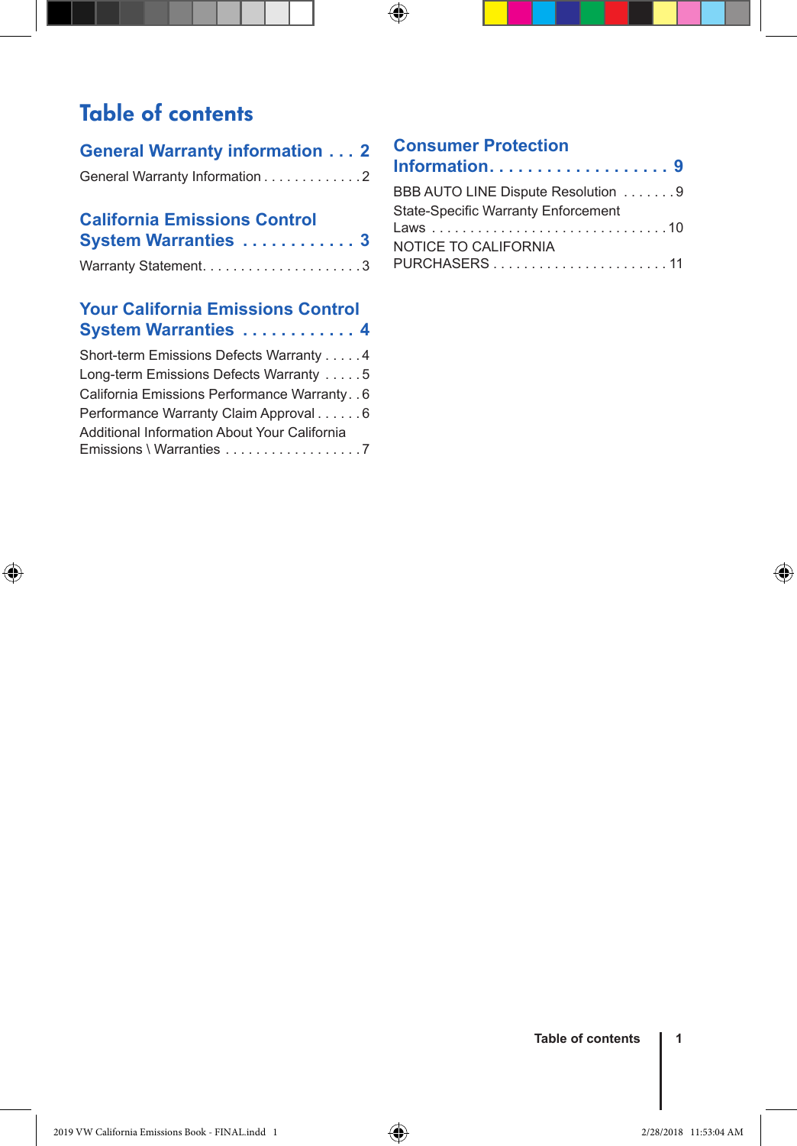## Table of contents

| General Warranty information 2 |  |
|--------------------------------|--|
| General Warranty Information 2 |  |

### **California Emissions Control System Warranties . . . . . . . . . . . . 3**

### **Your California Emissions Control System Warranties . . . . . . . . . . . . 4**

| Short-term Emissions Defects Warranty 4                                  |
|--------------------------------------------------------------------------|
| Long-term Emissions Defects Warranty 5                                   |
| California Emissions Performance Warranty. . 6                           |
| Performance Warranty Claim Approval 6                                    |
| Additional Information About Your California<br>Emissions \ Warranties 7 |

◈

### **Consumer Protection**

 $\bigoplus$ 

| BBB AUTO LINE Dispute Resolution 9         |
|--------------------------------------------|
| <b>State-Specific Warranty Enforcement</b> |
| NOTICE TO CALIFORNIA                       |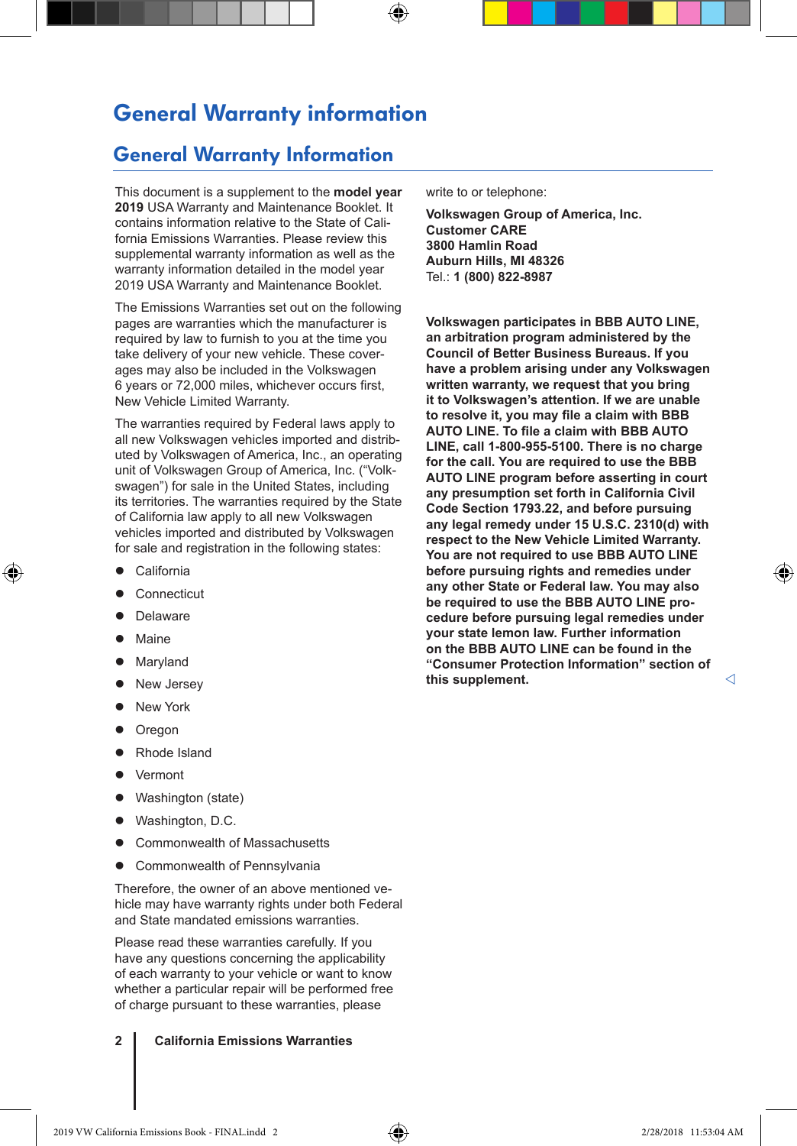### General Warranty information

### General Warranty Information

This document is a supplement to the **model year 2019** USA Warranty and Maintenance Booklet. It contains information relative to the State of California Emissions Warranties. Please review this supplemental warranty information as well as the warranty information detailed in the model year 2019 USA Warranty and Maintenance Booklet.

The Emissions Warranties set out on the following pages are warranties which the manufacturer is required by law to furnish to you at the time you take delivery of your new vehicle. These coverages may also be included in the Volkswagen 6 years or 72,000 miles, whichever occurs first, New Vehicle Limited Warranty.

The warranties required by Federal laws apply to all new Volkswagen vehicles imported and distributed by Volkswagen of America, Inc., an operating unit of Volkswagen Group of America, Inc. ("Volkswagen") for sale in the United States, including its territories. The warranties required by the State of California law apply to all new Volkswagen vehicles imported and distributed by Volkswagen for sale and registration in the following states:

- California
- Connecticut
- Delaware
- Maine

◈

- Maryland
- New Jersey
- **New York**
- Oregon
- Rhode Island
- Vermont
- Washington (state)
- Washington, D.C.
- Commonwealth of Massachusetts
- Commonwealth of Pennsylvania

Therefore, the owner of an above mentioned vehicle may have warranty rights under both Federal and State mandated emissions warranties.

Please read these warranties carefully. If you have any questions concerning the applicability of each warranty to your vehicle or want to know whether a particular repair will be performed free of charge pursuant to these warranties, please

**2 California Emissions Warranties**

write to or telephone:

⊕

**Volkswagen Group of America, Inc. Customer CARE 3800 Hamlin Road Auburn Hills, MI 48326** Tel.: **1 (800) 822-8987**

**Volkswagen participates in BBB AUTO LINE, an arbitration program administered by the Council of Better Business Bureaus. If you have a problem arising under any Volkswagen written warranty, we request that you bring it to Volkswagen's attention. If we are unable to resolve it, you may file a claim with BBB AUTO LINE. To file a claim with BBB AUTO LINE, call 1-800-955-5100. There is no charge for the call. You are required to use the BBB AUTO LINE program before asserting in court any presumption set forth in California Civil Code Section 1793.22, and before pursuing any legal remedy under 15 U.S.C. 2310(d) with respect to the New Vehicle Limited Warranty. You are not required to use BBB AUTO LINE before pursuing rights and remedies under any other State or Federal law. You may also be required to use the BBB AUTO LINE procedure before pursuing legal remedies under your state lemon law. Further information on the BBB AUTO LINE can be found in the "Consumer Protection Information" section of this supplement.**

◈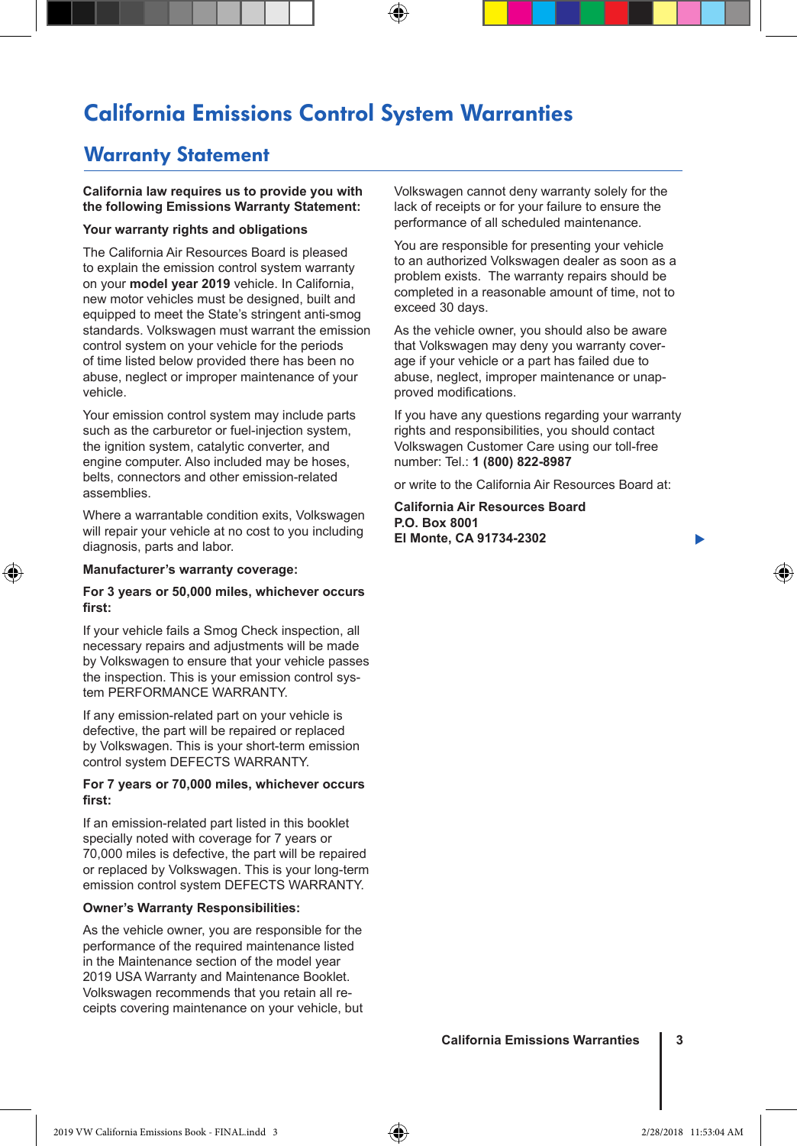## California Emissions Control System Warranties

⊕

### Warranty Statement

#### **California law requires us to provide you with the following Emissions Warranty Statement:**

#### **Your warranty rights and obligations**

The California Air Resources Board is pleased to explain the emission control system warranty on your **model year 2019** vehicle. In California, new motor vehicles must be designed, built and equipped to meet the State's stringent anti-smog standards. Volkswagen must warrant the emission control system on your vehicle for the periods of time listed below provided there has been no abuse, neglect or improper maintenance of your vehicle.

Your emission control system may include parts such as the carburetor or fuel-injection system, the ignition system, catalytic converter, and engine computer. Also included may be hoses, belts, connectors and other emission-related assemblies.

Where a warrantable condition exits, Volkswagen will repair your vehicle at no cost to you including diagnosis, parts and labor.

#### **Manufacturer's warranty coverage:**

⊕

#### **For 3 years or 50,000 miles, whichever occurs first:**

If your vehicle fails a Smog Check inspection, all necessary repairs and adjustments will be made by Volkswagen to ensure that your vehicle passes the inspection. This is your emission control system PERFORMANCE WARRANTY.

If any emission-related part on your vehicle is defective, the part will be repaired or replaced by Volkswagen. This is your short-term emission control system DEFECTS WARRANTY.

#### **For 7 years or 70,000 miles, whichever occurs first:**

If an emission-related part listed in this booklet specially noted with coverage for 7 years or 70,000 miles is defective, the part will be repaired or replaced by Volkswagen. This is your long-term emission control system DEFECTS WARRANTY.

#### **Owner's Warranty Responsibilities:**

As the vehicle owner, you are responsible for the performance of the required maintenance listed in the Maintenance section of the model year 2019 USA Warranty and Maintenance Booklet. Volkswagen recommends that you retain all receipts covering maintenance on your vehicle, but Volkswagen cannot deny warranty solely for the lack of receipts or for your failure to ensure the performance of all scheduled maintenance.

You are responsible for presenting your vehicle to an authorized Volkswagen dealer as soon as a problem exists. The warranty repairs should be completed in a reasonable amount of time, not to exceed 30 days.

As the vehicle owner, you should also be aware that Volkswagen may deny you warranty coverage if your vehicle or a part has failed due to abuse, neglect, improper maintenance or unapproved modifications.

If you have any questions regarding your warranty rights and responsibilities, you should contact Volkswagen Customer Care using our toll-free number: Tel.: **1 (800) 822-8987**

or write to the California Air Resources Board at:

**California Air Resources Board P.O. Box 8001 El Monte, CA 91734-2302**

▶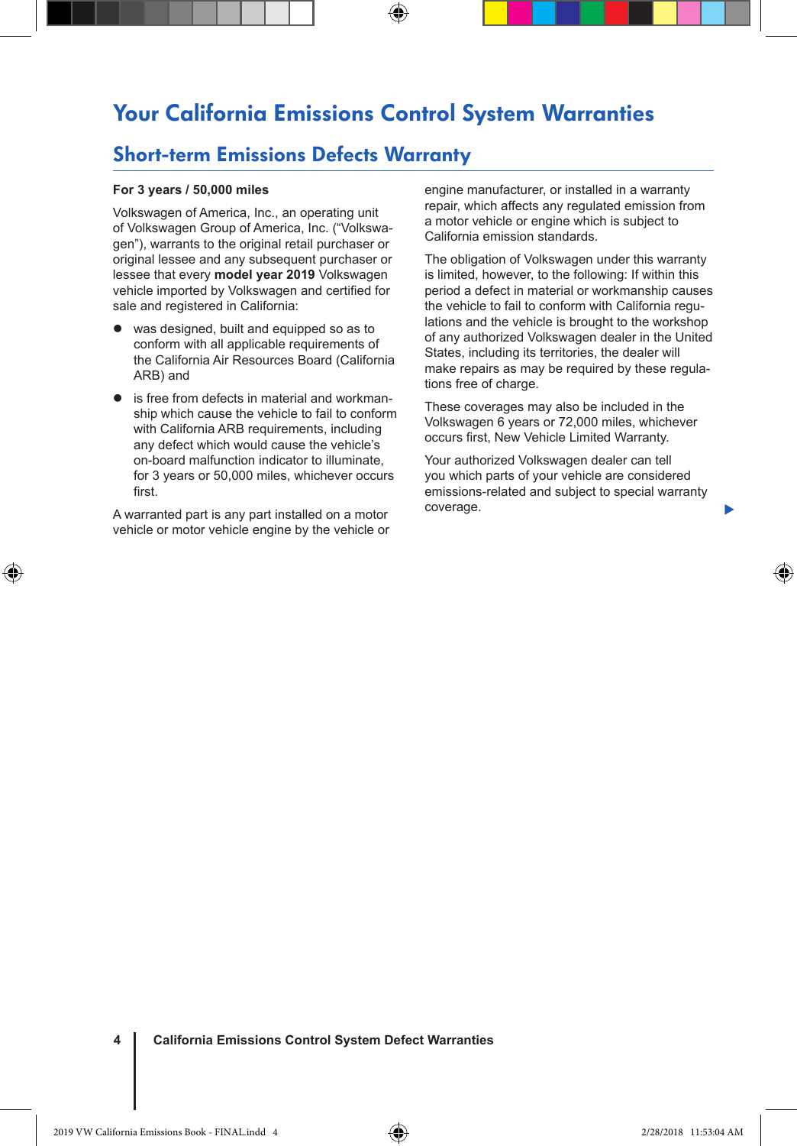### Your California Emissions Control System Warranties

⊕

### Short-term Emissions Defects Warranty

#### **For 3 years / 50,000 miles**

Volkswagen of America, Inc., an operating unit of Volkswagen Group of America, Inc. ("Volkswagen"), warrants to the original retail purchaser or original lessee and any subsequent purchaser or lessee that every **model year 2019** Volkswagen vehicle imported by Volkswagen and certified for sale and registered in California:

- was designed, built and equipped so as to conform with all applicable requirements of the California Air Resources Board (California ARB) and
- is free from defects in material and workmanship which cause the vehicle to fail to conform with California ARB requirements, including any defect which would cause the vehicle's on-board malfunction indicator to illuminate, for 3 years or 50,000 miles, whichever occurs first.

A warranted part is any part installed on a motor vehicle or motor vehicle engine by the vehicle or

◈

engine manufacturer, or installed in a warranty repair, which affects any regulated emission from a motor vehicle or engine which is subject to California emission standards.

The obligation of Volkswagen under this warranty is limited, however, to the following: If within this period a defect in material or workmanship causes the vehicle to fail to conform with California regulations and the vehicle is brought to the workshop of any authorized Volkswagen dealer in the United States, including its territories, the dealer will make repairs as may be required by these regulations free of charge.

These coverages may also be included in the Volkswagen 6 years or 72,000 miles, whichever occurs first, New Vehicle Limited Warranty.

Your authorized Volkswagen dealer can tell you which parts of your vehicle are considered emissions-related and subject to special warranty coverage.

Þ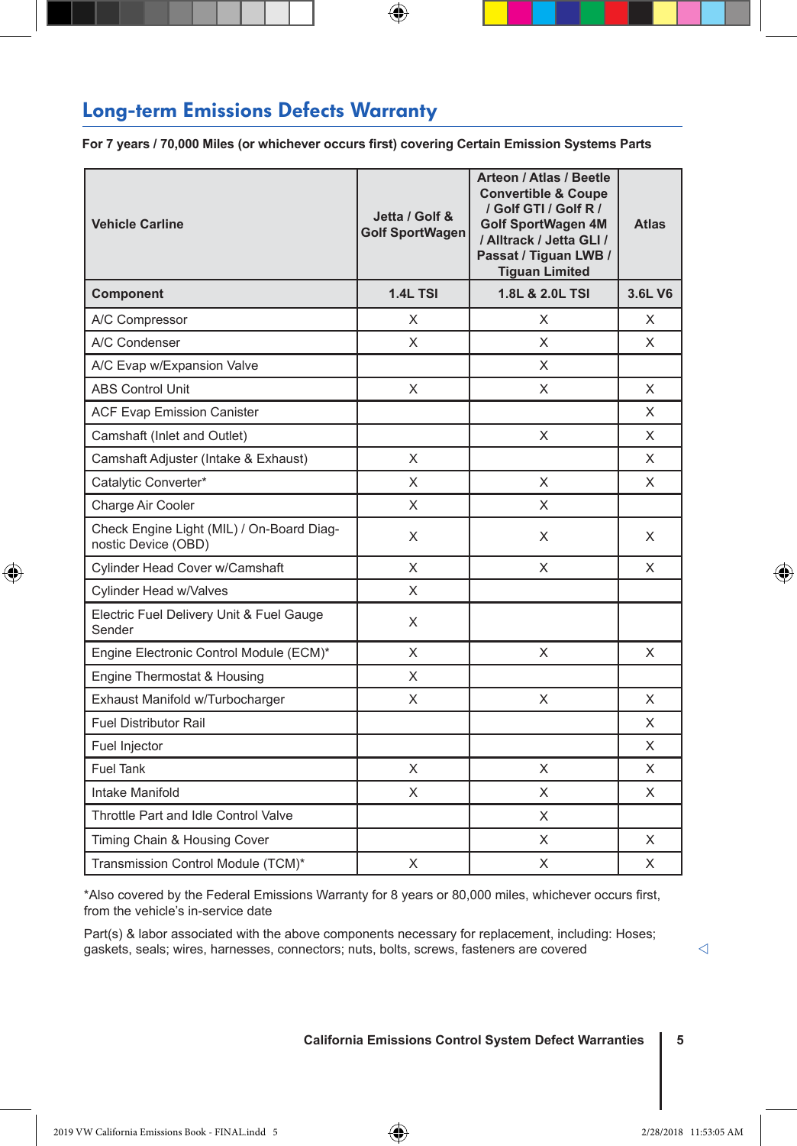### Long-term Emissions Defects Warranty

**For 7 years / 70,000 Miles (or whichever occurs first) covering Certain Emission Systems Parts**

⊕

| <b>Vehicle Carline</b>                                           | Jetta / Golf &<br><b>Golf SportWagen</b> | Arteon / Atlas / Beetle<br><b>Convertible &amp; Coupe</b><br>/ Golf GTI / Golf R /<br><b>Golf SportWagen 4M</b><br>/ Alltrack / Jetta GLI /<br>Passat / Tiguan LWB /<br><b>Tiguan Limited</b> | <b>Atlas</b> |
|------------------------------------------------------------------|------------------------------------------|-----------------------------------------------------------------------------------------------------------------------------------------------------------------------------------------------|--------------|
| Component                                                        | 1.4L TSI                                 | 1.8L & 2.0L TSI                                                                                                                                                                               | 3.6L V6      |
| A/C Compressor                                                   | X                                        | X                                                                                                                                                                                             | X            |
| A/C Condenser                                                    | X                                        | X                                                                                                                                                                                             | X            |
| A/C Evap w/Expansion Valve                                       |                                          | X                                                                                                                                                                                             |              |
| <b>ABS Control Unit</b>                                          | X                                        | X                                                                                                                                                                                             | X            |
| <b>ACF Evap Emission Canister</b>                                |                                          |                                                                                                                                                                                               | X            |
| Camshaft (Inlet and Outlet)                                      |                                          | X                                                                                                                                                                                             | X            |
| Camshaft Adjuster (Intake & Exhaust)                             | X                                        |                                                                                                                                                                                               | X            |
| Catalytic Converter*                                             | X                                        | X                                                                                                                                                                                             | X            |
| Charge Air Cooler                                                | X                                        | X                                                                                                                                                                                             |              |
| Check Engine Light (MIL) / On-Board Diag-<br>nostic Device (OBD) | X                                        | X                                                                                                                                                                                             | X            |
| Cylinder Head Cover w/Camshaft                                   | X                                        | X                                                                                                                                                                                             | X            |
| Cylinder Head w/Valves                                           | X                                        |                                                                                                                                                                                               |              |
| Electric Fuel Delivery Unit & Fuel Gauge<br>Sender               | X                                        |                                                                                                                                                                                               |              |
| Engine Electronic Control Module (ECM)*                          | X                                        | X                                                                                                                                                                                             | X            |
| Engine Thermostat & Housing                                      | X                                        |                                                                                                                                                                                               |              |
| Exhaust Manifold w/Turbocharger                                  | X                                        | X                                                                                                                                                                                             | X            |
| <b>Fuel Distributor Rail</b>                                     |                                          |                                                                                                                                                                                               | X            |
| Fuel Injector                                                    |                                          |                                                                                                                                                                                               | X            |
| <b>Fuel Tank</b>                                                 | X                                        | X                                                                                                                                                                                             | X            |
| Intake Manifold                                                  | X                                        | X                                                                                                                                                                                             | X            |
| Throttle Part and Idle Control Valve                             |                                          | X                                                                                                                                                                                             |              |
| Timing Chain & Housing Cover                                     |                                          | X                                                                                                                                                                                             | X            |
| Transmission Control Module (TCM)*                               | X                                        | X                                                                                                                                                                                             | X            |

\*Also covered by the Federal Emissions Warranty for 8 years or 80,000 miles, whichever occurs first, from the vehicle's in-service date

Part(s) & labor associated with the above components necessary for replacement, including: Hoses; gaskets, seals; wires, harnesses, connectors; nuts, bolts, screws, fasteners are covered

 $\triangleleft$ 

◈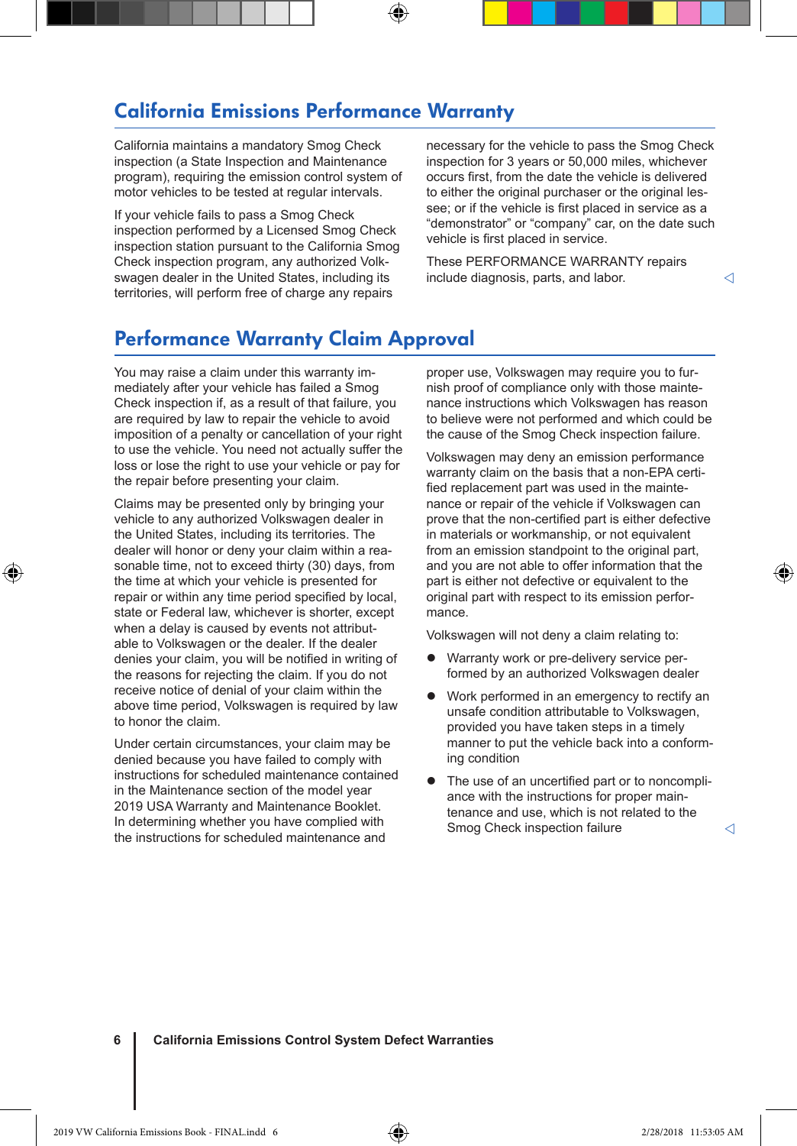### California Emissions Performance Warranty

California maintains a mandatory Smog Check inspection (a State Inspection and Maintenance program), requiring the emission control system of motor vehicles to be tested at regular intervals.

If your vehicle fails to pass a Smog Check inspection performed by a Licensed Smog Check inspection station pursuant to the California Smog Check inspection program, any authorized Volkswagen dealer in the United States, including its territories, will perform free of charge any repairs

necessary for the vehicle to pass the Smog Check inspection for 3 years or 50,000 miles, whichever occurs first, from the date the vehicle is delivered to either the original purchaser or the original lessee; or if the vehicle is first placed in service as a "demonstrator" or "company" car, on the date such vehicle is first placed in service.

These PERFORMANCE WARRANTY repairs include diagnosis, parts, and labor.

### Performance Warranty Claim Approval

You may raise a claim under this warranty immediately after your vehicle has failed a Smog Check inspection if, as a result of that failure, you are required by law to repair the vehicle to avoid imposition of a penalty or cancellation of your right to use the vehicle. You need not actually suffer the loss or lose the right to use your vehicle or pay for the repair before presenting your claim.

Claims may be presented only by bringing your vehicle to any authorized Volkswagen dealer in the United States, including its territories. The dealer will honor or deny your claim within a reasonable time, not to exceed thirty (30) days, from the time at which your vehicle is presented for repair or within any time period specified by local, state or Federal law, whichever is shorter, except when a delay is caused by events not attributable to Volkswagen or the dealer. If the dealer denies your claim, you will be notified in writing of the reasons for rejecting the claim. If you do not receive notice of denial of your claim within the above time period, Volkswagen is required by law to honor the claim.

⊕

Under certain circumstances, your claim may be denied because you have failed to comply with instructions for scheduled maintenance contained in the Maintenance section of the model year 2019 USA Warranty and Maintenance Booklet. In determining whether you have complied with the instructions for scheduled maintenance and

proper use, Volkswagen may require you to furnish proof of compliance only with those maintenance instructions which Volkswagen has reason to believe were not performed and which could be the cause of the Smog Check inspection failure.

Volkswagen may deny an emission performance warranty claim on the basis that a non-EPA certified replacement part was used in the maintenance or repair of the vehicle if Volkswagen can prove that the non-certified part is either defective in materials or workmanship, or not equivalent from an emission standpoint to the original part, and you are not able to offer information that the part is either not defective or equivalent to the original part with respect to its emission performance.

Volkswagen will not deny a claim relating to:

- Warranty work or pre-delivery service performed by an authorized Volkswagen dealer
- Work performed in an emergency to rectify an unsafe condition attributable to Volkswagen, provided you have taken steps in a timely manner to put the vehicle back into a conforming condition
- The use of an uncertified part or to noncompliance with the instructions for proper maintenance and use, which is not related to the Smog Check inspection failure

**6 California Emissions Control System Defect Warranties**

2019 VW California Emissions Book - FINAL.indd 6 2/28/2018 11:53:05 AM

◁

⊕

◁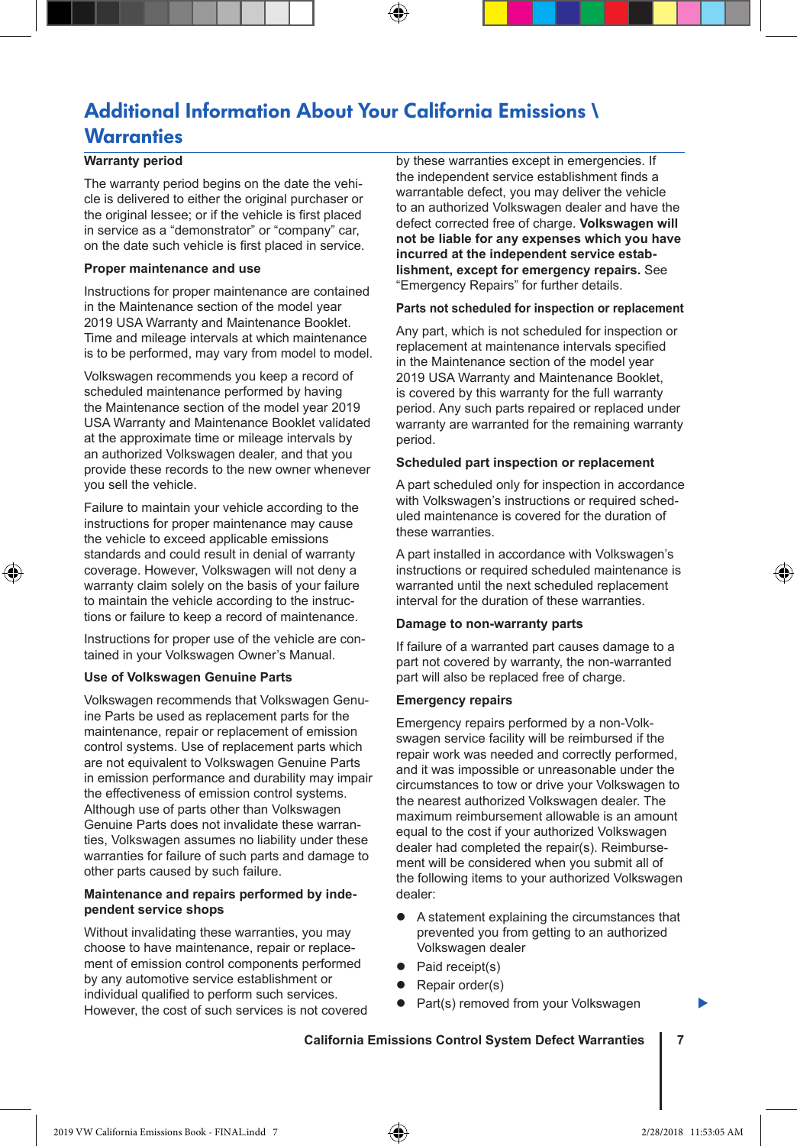### Additional Information About Your California Emissions \ **Warranties**

#### **Warranty period**

The warranty period begins on the date the vehicle is delivered to either the original purchaser or the original lessee; or if the vehicle is first placed in service as a "demonstrator" or "company" car, on the date such vehicle is first placed in service.

#### **Proper maintenance and use**

Instructions for proper maintenance are contained in the Maintenance section of the model year 2019 USA Warranty and Maintenance Booklet. Time and mileage intervals at which maintenance is to be performed, may vary from model to model.

Volkswagen recommends you keep a record of scheduled maintenance performed by having the Maintenance section of the model year 2019 USA Warranty and Maintenance Booklet validated at the approximate time or mileage intervals by an authorized Volkswagen dealer, and that you provide these records to the new owner whenever you sell the vehicle.

Failure to maintain your vehicle according to the instructions for proper maintenance may cause the vehicle to exceed applicable emissions standards and could result in denial of warranty coverage. However, Volkswagen will not deny a warranty claim solely on the basis of your failure to maintain the vehicle according to the instructions or failure to keep a record of maintenance.

Instructions for proper use of the vehicle are contained in your Volkswagen Owner's Manual.

#### **Use of Volkswagen Genuine Parts**

⊕

Volkswagen recommends that Volkswagen Genuine Parts be used as replacement parts for the maintenance, repair or replacement of emission control systems. Use of replacement parts which are not equivalent to Volkswagen Genuine Parts in emission performance and durability may impair the effectiveness of emission control systems. Although use of parts other than Volkswagen Genuine Parts does not invalidate these warranties, Volkswagen assumes no liability under these warranties for failure of such parts and damage to other parts caused by such failure.

#### **Maintenance and repairs performed by independent service shops**

Without invalidating these warranties, you may choose to have maintenance, repair or replacement of emission control components performed by any automotive service establishment or individual qualified to perform such services. However, the cost of such services is not covered by these warranties except in emergencies. If the independent service establishment finds a warrantable defect, you may deliver the vehicle to an authorized Volkswagen dealer and have the defect corrected free of charge. **Volkswagen will not be liable for any expenses which you have incurred at the independent service establishment, except for emergency repairs.** See "Emergency Repairs" for further details.

#### **Parts not scheduled for inspection or replacement**

Any part, which is not scheduled for inspection or replacement at maintenance intervals specified in the Maintenance section of the model year 2019 USA Warranty and Maintenance Booklet, is covered by this warranty for the full warranty period. Any such parts repaired or replaced under warranty are warranted for the remaining warranty period.

#### **Scheduled part inspection or replacement**

A part scheduled only for inspection in accordance with Volkswagen's instructions or required scheduled maintenance is covered for the duration of these warranties.

A part installed in accordance with Volkswagen's instructions or required scheduled maintenance is warranted until the next scheduled replacement interval for the duration of these warranties.

#### **Damage to non-warranty parts**

If failure of a warranted part causes damage to a part not covered by warranty, the non-warranted part will also be replaced free of charge.

#### **Emergency repairs**

Emergency repairs performed by a non-Volkswagen service facility will be reimbursed if the repair work was needed and correctly performed, and it was impossible or unreasonable under the circumstances to tow or drive your Volkswagen to the nearest authorized Volkswagen dealer. The maximum reimbursement allowable is an amount equal to the cost if your authorized Volkswagen dealer had completed the repair(s). Reimbursement will be considered when you submit all of the following items to your authorized Volkswagen dealer:

- A statement explaining the circumstances that prevented you from getting to an authorized Volkswagen dealer
- Paid receipt(s)
- $\bullet$  Repair order(s)
	- Part(s) removed from your Volkswagen

#### **California Emissions Control System Defect Warranties 7**

▶

♠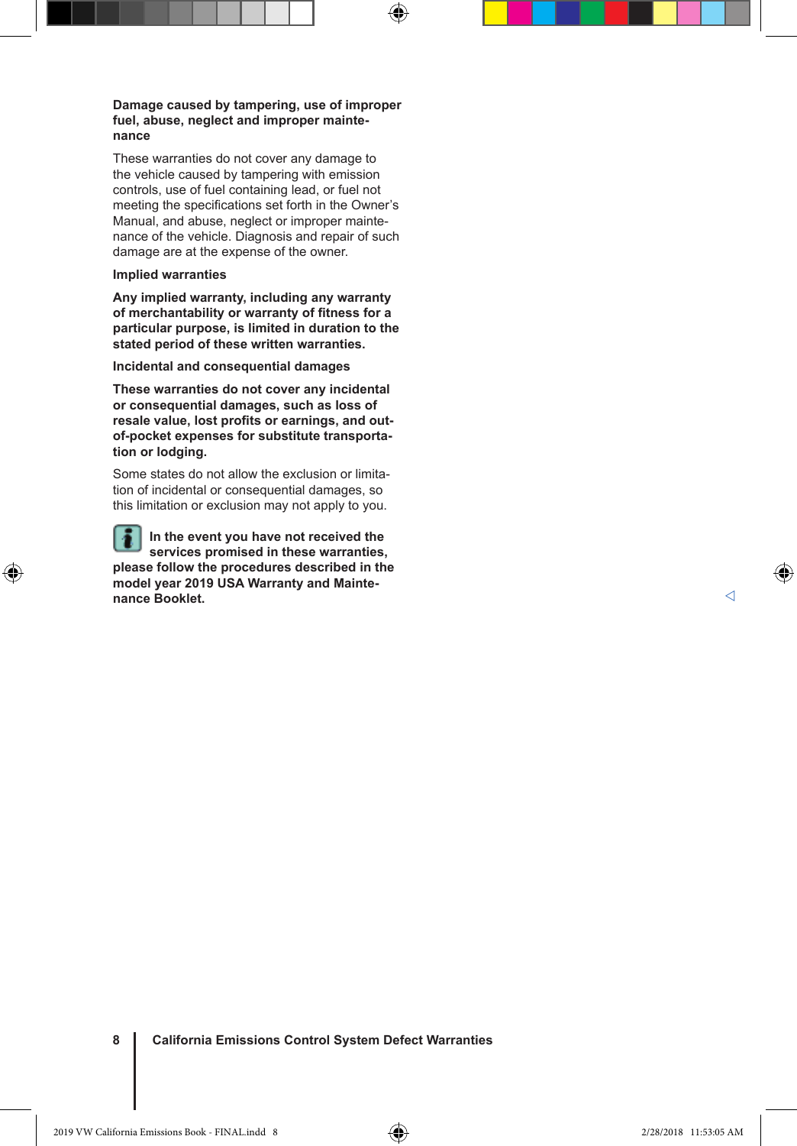#### **Damage caused by tampering, use of improper fuel, abuse, neglect and improper maintenance**

⊕

These warranties do not cover any damage to the vehicle caused by tampering with emission controls, use of fuel containing lead, or fuel not meeting the specifications set forth in the Owner's Manual, and abuse, neglect or improper maintenance of the vehicle. Diagnosis and repair of such damage are at the expense of the owner.

#### **Implied warranties**

◈

**Any implied warranty, including any warranty of merchantability or warranty of fitness for a particular purpose, is limited in duration to the stated period of these written warranties.**

**Incidental and consequential damages**

**These warranties do not cover any incidental or consequential damages, such as loss of resale value, lost profits or earnings, and outof-pocket expenses for substitute transportation or lodging.**

Some states do not allow the exclusion or limitation of incidental or consequential damages, so this limitation or exclusion may not apply to you.

**In the event you have not received the**  ۱ē **services promised in these warranties, please follow the procedures described in the model year 2019 USA Warranty and Maintenance Booklet.**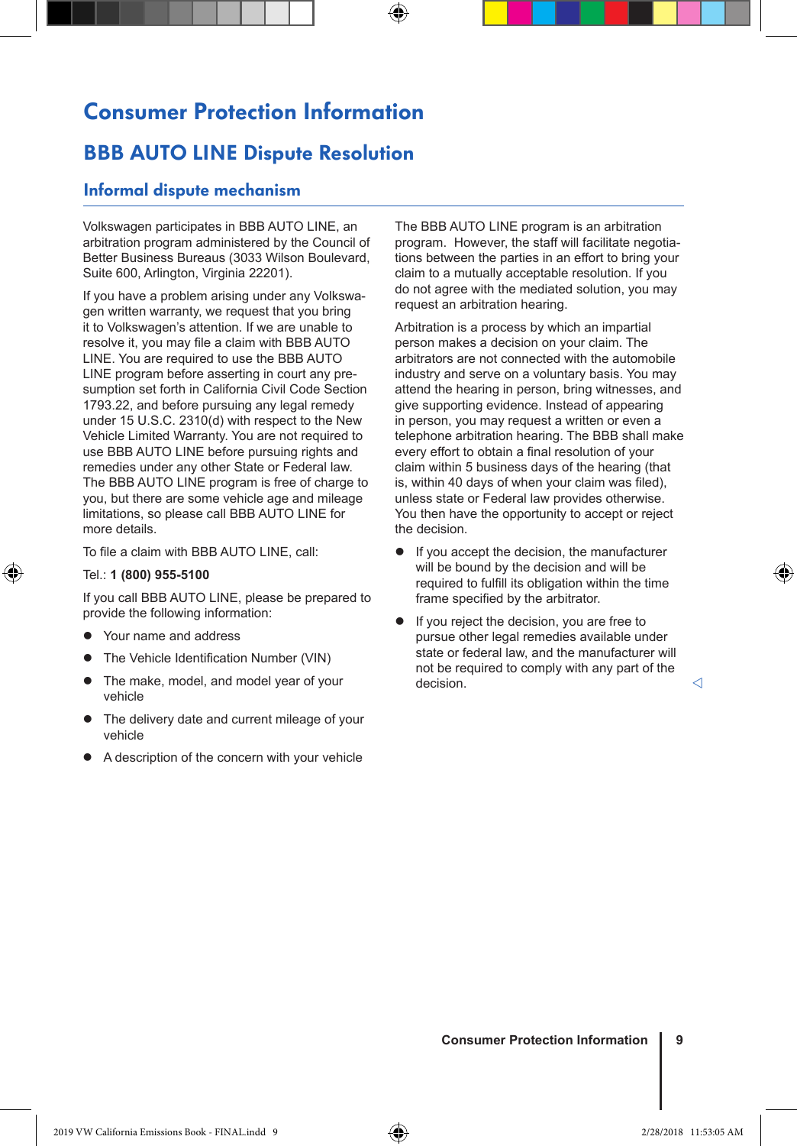# Consumer Protection Information

⊕

### **BBB AUTO LINE Dispute Resolution**

#### Informal dispute mechanism

Volkswagen participates in BBB AUTO LINE, an arbitration program administered by the Council of Better Business Bureaus (3033 Wilson Boulevard, Suite 600, Arlington, Virginia 22201).

If you have a problem arising under any Volkswagen written warranty, we request that you bring it to Volkswagen's attention. If we are unable to resolve it, you may file a claim with BBB AUTO LINE. You are required to use the BBB AUTO LINE program before asserting in court any presumption set forth in California Civil Code Section 1793.22, and before pursuing any legal remedy under 15 U.S.C. 2310(d) with respect to the New Vehicle Limited Warranty. You are not required to use BBB AUTO LINE before pursuing rights and remedies under any other State or Federal law. The BBB AUTO LINE program is free of charge to you, but there are some vehicle age and mileage limitations, so please call BBB AUTO LINE for more details.

To file a claim with BBB AUTO LINE, call:

#### Tel.: **1 (800) 955-5100**

⊕

If you call BBB AUTO LINE, please be prepared to provide the following information:

- Your name and address
- The Vehicle Identification Number (VIN)
- The make, model, and model year of your vehicle
- The delivery date and current mileage of your vehicle
- A description of the concern with your vehicle

The BBB AUTO LINE program is an arbitration program. However, the staff will facilitate negotiations between the parties in an effort to bring your claim to a mutually acceptable resolution. If you do not agree with the mediated solution, you may request an arbitration hearing.

Arbitration is a process by which an impartial person makes a decision on your claim. The arbitrators are not connected with the automobile industry and serve on a voluntary basis. You may attend the hearing in person, bring witnesses, and give supporting evidence. Instead of appearing in person, you may request a written or even a telephone arbitration hearing. The BBB shall make every effort to obtain a final resolution of your claim within 5 business days of the hearing (that is, within 40 days of when your claim was filed), unless state or Federal law provides otherwise. You then have the opportunity to accept or reject the decision.

- If you accept the decision, the manufacturer will be bound by the decision and will be required to fulfill its obligation within the time frame specified by the arbitrator.
- If you reject the decision, you are free to pursue other legal remedies available under state or federal law, and the manufacturer will not be required to comply with any part of the decision.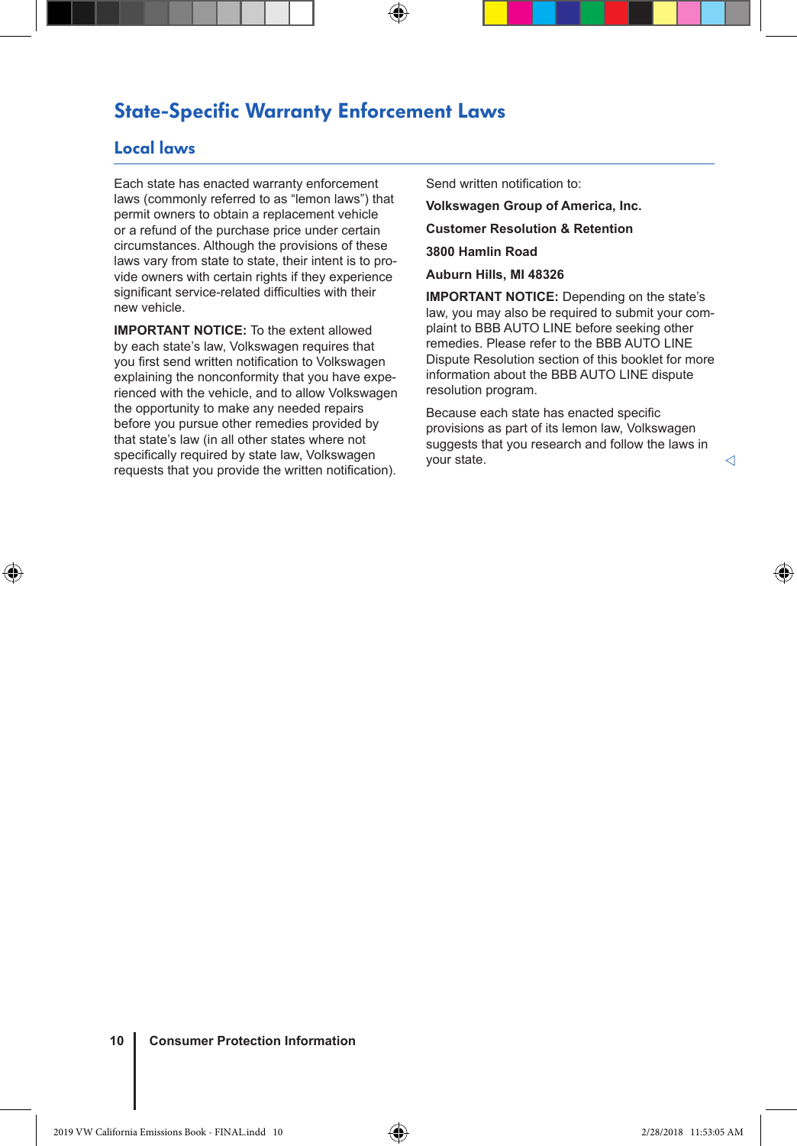### State-Specific Warranty Enforcement Laws

⊕

#### Local laws

◈

Each state has enacted warranty enforcement laws (commonly referred to as "lemon laws") that permit owners to obtain a replacement vehicle or a refund of the purchase price under certain circumstances. Although the provisions of these laws vary from state to state, their intent is to provide owners with certain rights if they experience significant service-related difficulties with their new vehicle.

**IMPORTANT NOTICE:** To the extent allowed by each state's law, Volkswagen requires that you first send written notification to Volkswagen explaining the nonconformity that you have experienced with the vehicle, and to allow Volkswagen the opportunity to make any needed repairs before you pursue other remedies provided by that state's law (in all other states where not specifically required by state law, Volkswagen requests that you provide the written notification).

Send written notification to:

**Volkswagen Group of America, Inc. Customer Resolution & Retention 3800 Hamlin Road Auburn Hills, MI 48326**

**IMPORTANT NOTICE:** Depending on the state's law, you may also be required to submit your complaint to BBB AUTO LINE before seeking other remedies. Please refer to the BBB AUTO LINE Dispute Resolution section of this booklet for more information about the BBB AUTO LINE dispute resolution program.

Because each state has enacted specific provisions as part of its lemon law, Volkswagen suggests that you research and follow the laws in your state.

#### **10 Consumer Protection Information**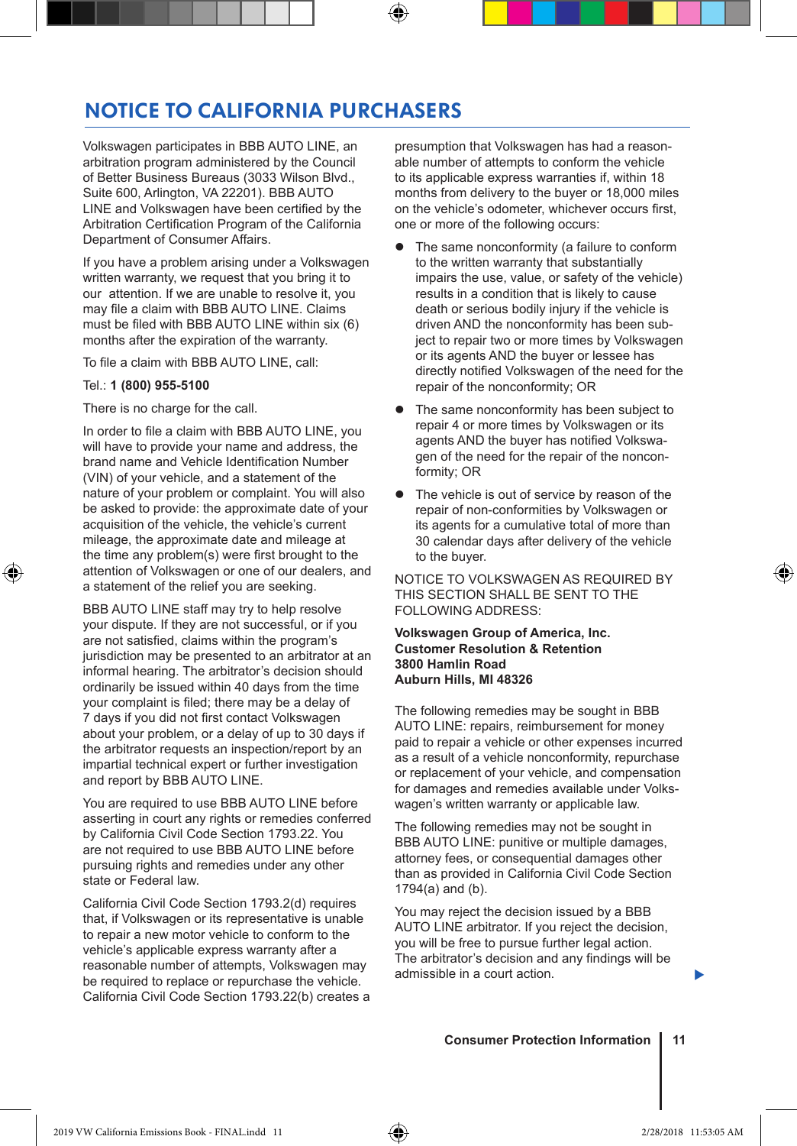### NOTICE TO CALIFORNIA PURCHASERS

Volkswagen participates in BBB AUTO LINE, an arbitration program administered by the Council of Better Business Bureaus (3033 Wilson Blvd., Suite 600, Arlington, VA 22201). BBB AUTO LINE and Volkswagen have been certified by the Arbitration Certification Program of the California Department of Consumer Affairs.

If you have a problem arising under a Volkswagen written warranty, we request that you bring it to our attention. If we are unable to resolve it, you may file a claim with BBB AUTO LINE. Claims must be filed with BBB AUTO LINE within six (6) months after the expiration of the warranty.

To file a claim with BBB AUTO LINE, call:

#### Tel.: **1 (800) 955-5100**

↔

There is no charge for the call.

In order to file a claim with BBB AUTO LINE, you will have to provide your name and address, the brand name and Vehicle Identification Number (VIN) of your vehicle, and a statement of the nature of your problem or complaint. You will also be asked to provide: the approximate date of your acquisition of the vehicle, the vehicle's current mileage, the approximate date and mileage at the time any problem(s) were first brought to the attention of Volkswagen or one of our dealers, and a statement of the relief you are seeking.

BBB AUTO LINE staff may try to help resolve your dispute. If they are not successful, or if you are not satisfied, claims within the program's jurisdiction may be presented to an arbitrator at an informal hearing. The arbitrator's decision should ordinarily be issued within 40 days from the time your complaint is filed; there may be a delay of 7 days if you did not first contact Volkswagen about your problem, or a delay of up to 30 days if the arbitrator requests an inspection/report by an impartial technical expert or further investigation and report by BBB AUTO LINE.

You are required to use BBB AUTO LINE before asserting in court any rights or remedies conferred by California Civil Code Section 1793.22. You are not required to use BBB AUTO LINE before pursuing rights and remedies under any other state or Federal law.

California Civil Code Section 1793.2(d) requires that, if Volkswagen or its representative is unable to repair a new motor vehicle to conform to the vehicle's applicable express warranty after a reasonable number of attempts, Volkswagen may be required to replace or repurchase the vehicle. California Civil Code Section 1793.22(b) creates a presumption that Volkswagen has had a reasonable number of attempts to conform the vehicle to its applicable express warranties if, within 18 months from delivery to the buyer or 18,000 miles on the vehicle's odometer, whichever occurs first, one or more of the following occurs:

- The same nonconformity (a failure to conform to the written warranty that substantially impairs the use, value, or safety of the vehicle) results in a condition that is likely to cause death or serious bodily injury if the vehicle is driven AND the nonconformity has been subject to repair two or more times by Volkswagen or its agents AND the buyer or lessee has directly notified Volkswagen of the need for the repair of the nonconformity; OR
- The same nonconformity has been subject to repair 4 or more times by Volkswagen or its agents AND the buyer has notified Volkswagen of the need for the repair of the nonconformity; OR
- The vehicle is out of service by reason of the repair of non-conformities by Volkswagen or its agents for a cumulative total of more than 30 calendar days after delivery of the vehicle to the buyer.

NOTICE TO VOLKSWAGEN AS REQUIRED BY THIS SECTION SHALL BE SENT TO THE FOLLOWING ADDRESS:

**Volkswagen Group of America, Inc. Customer Resolution & Retention 3800 Hamlin Road Auburn Hills, MI 48326**

The following remedies may be sought in BBB AUTO LINE: repairs, reimbursement for money paid to repair a vehicle or other expenses incurred as a result of a vehicle nonconformity, repurchase or replacement of your vehicle, and compensation for damages and remedies available under Volkswagen's written warranty or applicable law.

The following remedies may not be sought in BBB AUTO LINE: punitive or multiple damages, attorney fees, or consequential damages other than as provided in California Civil Code Section 1794(a) and (b).

You may reject the decision issued by a BBB AUTO LINE arbitrator. If you reject the decision, you will be free to pursue further legal action. The arbitrator's decision and any findings will be admissible in a court action.

**Consumer Protection Information 11**

▶

♠